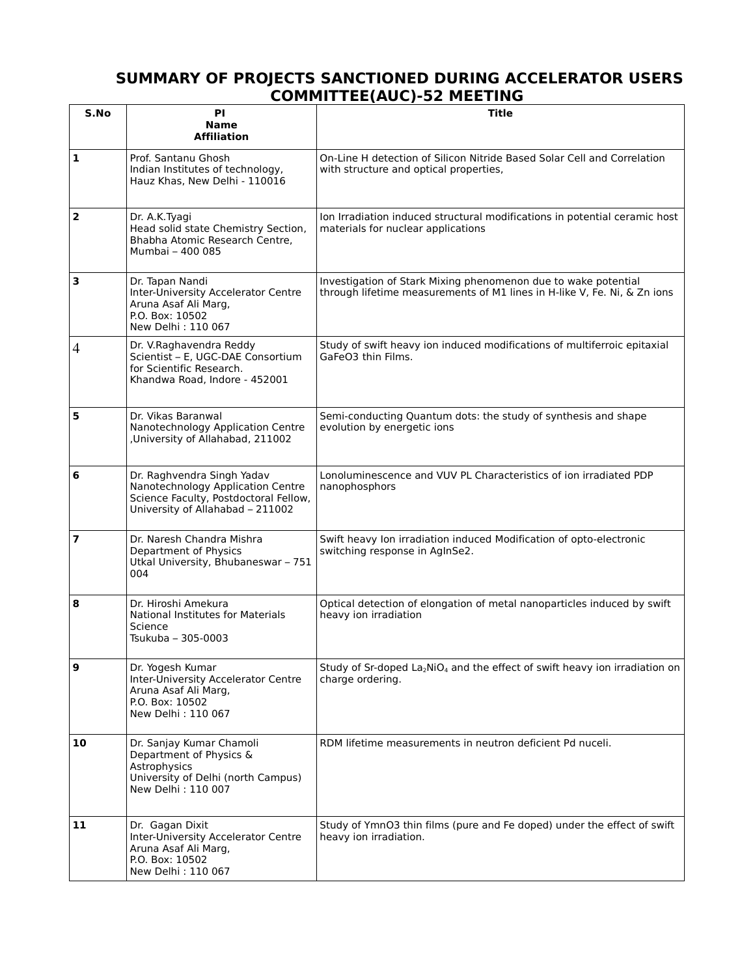## **SUMMARY OF PROJECTS SANCTIONED DURING ACCELERATOR USERS COMMITTEE(AUC)-52 MEETING**

| S.No           | ΡI<br>Name<br><b>Affiliation</b>                                                                                                             | Title                                                                                                                                      |
|----------------|----------------------------------------------------------------------------------------------------------------------------------------------|--------------------------------------------------------------------------------------------------------------------------------------------|
| $\mathbf{1}$   | Prof. Santanu Ghosh<br>Indian Institutes of technology,<br>Hauz Khas, New Delhi - 110016                                                     | On-Line H detection of Silicon Nitride Based Solar Cell and Correlation<br>with structure and optical properties,                          |
| $\overline{2}$ | Dr. A.K.Tyagi<br>Head solid state Chemistry Section,<br>Bhabha Atomic Research Centre,<br>Mumbai - 400 085                                   | Ion Irradiation induced structural modifications in potential ceramic host<br>materials for nuclear applications                           |
| 3              | Dr. Tapan Nandi<br>Inter-University Accelerator Centre<br>Aruna Asaf Ali Marg,<br>P.O. Box: 10502<br>New Delhi: 110 067                      | Investigation of Stark Mixing phenomenon due to wake potential<br>through lifetime measurements of M1 lines in H-like V, Fe. Ni, & Zn ions |
| 4              | Dr. V. Raghavendra Reddy<br>Scientist - E, UGC-DAE Consortium<br>for Scientific Research.<br>Khandwa Road, Indore - 452001                   | Study of swift heavy ion induced modifications of multiferroic epitaxial<br>GaFeO3 thin Films.                                             |
| 5              | Dr. Vikas Baranwal<br>Nanotechnology Application Centre<br>,University of Allahabad, 211002                                                  | Semi-conducting Quantum dots: the study of synthesis and shape<br>evolution by energetic ions                                              |
| 6              | Dr. Raghvendra Singh Yadav<br>Nanotechnology Application Centre<br>Science Faculty, Postdoctoral Fellow,<br>University of Allahabad - 211002 | Lonoluminescence and VUV PL Characteristics of ion irradiated PDP<br>nanophosphors                                                         |
| 7              | Dr. Naresh Chandra Mishra<br>Department of Physics<br>Utkal University, Bhubaneswar - 751<br>004                                             | Swift heavy Ion irradiation induced Modification of opto-electronic<br>switching response in AgInSe2.                                      |
| 8              | Dr. Hiroshi Amekura<br><b>National Institutes for Materials</b><br>Science<br>Tsukuba - 305-0003                                             | Optical detection of elongation of metal nanoparticles induced by swift<br>heavy ion irradiation                                           |
| 9              | Dr. Yogesh Kumar<br>Inter-University Accelerator Centre<br>Aruna Asaf Ali Marg,<br>P.O. Box: 10502<br>New Delhi: 110 067                     | Study of Sr-doped La <sub>2</sub> NiO <sub>4</sub> and the effect of swift heavy ion irradiation on<br>charge ordering.                    |
| 10             | Dr. Sanjay Kumar Chamoli<br>Department of Physics &<br>Astrophysics<br>University of Delhi (north Campus)<br>New Delhi: 110 007              | RDM lifetime measurements in neutron deficient Pd nuceli.                                                                                  |
| 11             | Dr. Gagan Dixit<br>Inter-University Accelerator Centre<br>Aruna Asaf Ali Marg,<br>P.O. Box: 10502<br>New Delhi: 110 067                      | Study of YmnO3 thin films (pure and Fe doped) under the effect of swift<br>heavy ion irradiation.                                          |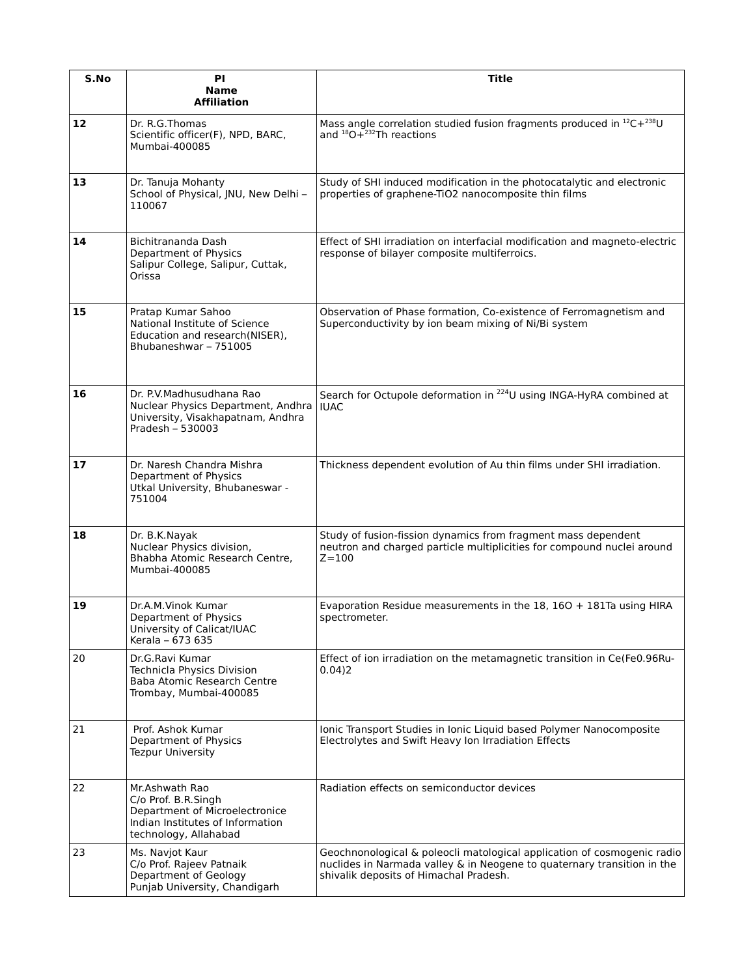| S.No | ΡI<br><b>Name</b><br><b>Affiliation</b>                                                                                              | <b>Title</b>                                                                                                                                                                                 |
|------|--------------------------------------------------------------------------------------------------------------------------------------|----------------------------------------------------------------------------------------------------------------------------------------------------------------------------------------------|
| 12   | Dr. R.G.Thomas<br>Scientific officer(F), NPD, BARC,<br>Mumbai-400085                                                                 | Mass angle correlation studied fusion fragments produced in $^{12}C+^{238}U$<br>and <sup>18</sup> O+ <sup>232</sup> Th reactions                                                             |
| 13   | Dr. Tanuja Mohanty<br>School of Physical, JNU, New Delhi -<br>110067                                                                 | Study of SHI induced modification in the photocatalytic and electronic<br>properties of graphene-TiO2 nanocomposite thin films                                                               |
| 14   | Bichitrananda Dash<br>Department of Physics<br>Salipur College, Salipur, Cuttak,<br>Orissa                                           | Effect of SHI irradiation on interfacial modification and magneto-electric<br>response of bilayer composite multiferroics.                                                                   |
| 15   | Pratap Kumar Sahoo<br>National Institute of Science<br>Education and research(NISER),<br>Bhubaneshwar - 751005                       | Observation of Phase formation, Co-existence of Ferromagnetism and<br>Superconductivity by ion beam mixing of Ni/Bi system                                                                   |
| 16   | Dr. P.V.Madhusudhana Rao<br>Nuclear Physics Department, Andhra<br>University, Visakhapatnam, Andhra<br>Pradesh - 530003              | Search for Octupole deformation in <sup>224</sup> U using INGA-HyRA combined at<br><b>IUAC</b>                                                                                               |
| 17   | Dr. Naresh Chandra Mishra<br>Department of Physics<br>Utkal University, Bhubaneswar -<br>751004                                      | Thickness dependent evolution of Au thin films under SHI irradiation.                                                                                                                        |
| 18   | Dr. B.K.Nayak<br>Nuclear Physics division,<br>Bhabha Atomic Research Centre.<br>Mumbai-400085                                        | Study of fusion-fission dynamics from fragment mass dependent<br>neutron and charged particle multiplicities for compound nuclei around<br>$Z = 100$                                         |
| 19   | Dr.A.M.Vinok Kumar<br>Department of Physics<br>University of Calicat/IUAC<br>Kerala - 673 635                                        | Evaporation Residue measurements in the $18$ , $160 + 181$ Ta using HIRA<br>spectrometer.                                                                                                    |
| 20   | Dr.G.Ravi Kumar<br>Technicla Physics Division<br>Baba Atomic Research Centre<br>Trombay, Mumbai-400085                               | Effect of ion irradiation on the metamagnetic transition in Ce(Fe0.96Ru-<br>0.04)2                                                                                                           |
| 21   | Prof. Ashok Kumar<br>Department of Physics<br><b>Tezpur University</b>                                                               | Ionic Transport Studies in Ionic Liquid based Polymer Nanocomposite<br>Electrolytes and Swift Heavy Ion Irradiation Effects                                                                  |
| 22   | Mr.Ashwath Rao<br>C/o Prof. B.R.Singh<br>Department of Microelectronice<br>Indian Institutes of Information<br>technology, Allahabad | Radiation effects on semiconductor devices                                                                                                                                                   |
| 23   | Ms. Navjot Kaur<br>C/o Prof. Rajeev Patnaik<br>Department of Geology<br>Punjab University, Chandigarh                                | Geochnonological & poleocli matological application of cosmogenic radio<br>nuclides in Narmada valley & in Neogene to quaternary transition in the<br>shivalik deposits of Himachal Pradesh. |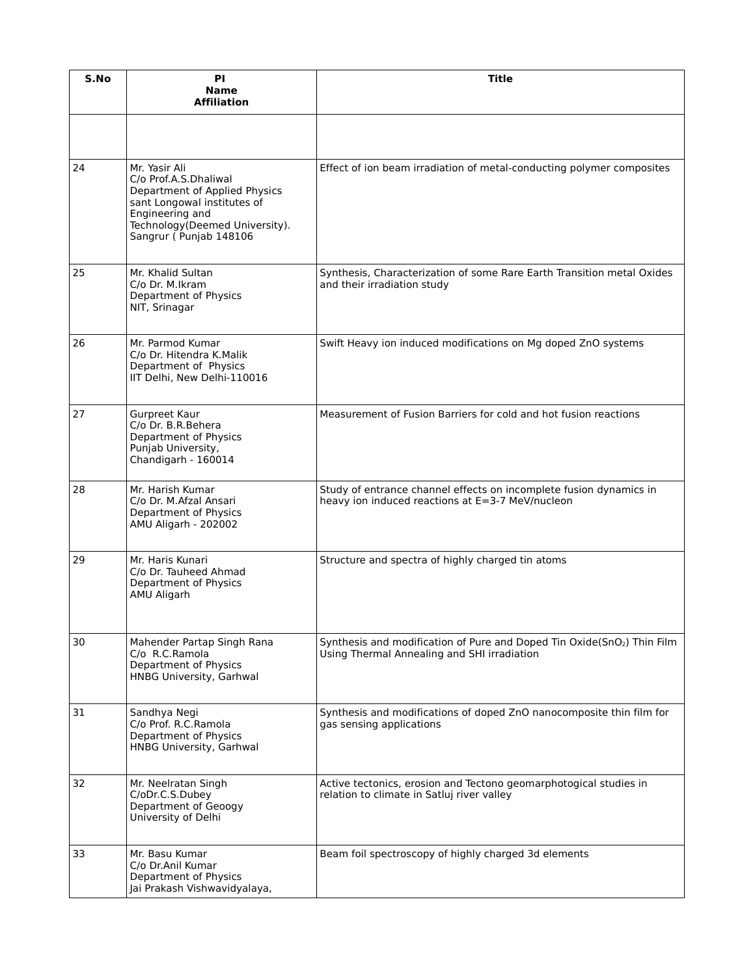| S.No | ΡI<br><b>Name</b><br>Affiliation                                                                                                                                                       | Title                                                                                                                              |
|------|----------------------------------------------------------------------------------------------------------------------------------------------------------------------------------------|------------------------------------------------------------------------------------------------------------------------------------|
|      |                                                                                                                                                                                        |                                                                                                                                    |
| 24   | Mr. Yasir Ali<br>C/o Prof.A.S.Dhaliwal<br>Department of Applied Physics<br>sant Longowal institutes of<br>Engineering and<br>Technology (Deemed University).<br>Sangrur (Punjab 148106 | Effect of ion beam irradiation of metal-conducting polymer composites                                                              |
| 25   | Mr. Khalid Sultan<br>C/o Dr. M.Ikram<br>Department of Physics<br>NIT, Srinagar                                                                                                         | Synthesis, Characterization of some Rare Earth Transition metal Oxides<br>and their irradiation study                              |
| 26   | Mr. Parmod Kumar<br>C/o Dr. Hitendra K.Malik<br>Department of Physics<br>IIT Delhi, New Delhi-110016                                                                                   | Swift Heavy ion induced modifications on Mg doped ZnO systems                                                                      |
| 27   | Gurpreet Kaur<br>C/o Dr. B.R.Behera<br>Department of Physics<br>Punjab University,<br>Chandigarh - 160014                                                                              | Measurement of Fusion Barriers for cold and hot fusion reactions                                                                   |
| 28   | Mr. Harish Kumar<br>C/o Dr. M.Afzal Ansari<br>Department of Physics<br>AMU Aligarh - 202002                                                                                            | Study of entrance channel effects on incomplete fusion dynamics in<br>heavy ion induced reactions at E=3-7 MeV/nucleon             |
| 29   | Mr. Haris Kunari<br>C/o Dr. Tauheed Ahmad<br>Department of Physics<br>AMU Aligarh                                                                                                      | Structure and spectra of highly charged tin atoms                                                                                  |
| 30   | Mahender Partap Singh Rana<br>C/o R.C.Ramola<br>Department of Physics<br>HNBG University, Garhwal                                                                                      | Synthesis and modification of Pure and Doped Tin Oxide(SnO <sub>2</sub> ) Thin Film<br>Using Thermal Annealing and SHI irradiation |
| 31   | Sandhya Negi<br>C/o Prof. R.C.Ramola<br>Department of Physics<br>HNBG University, Garhwal                                                                                              | Synthesis and modifications of doped ZnO nanocomposite thin film for<br>gas sensing applications                                   |
| 32   | Mr. Neelratan Singh<br>C/oDr.C.S.Dubey<br>Department of Geoogy<br>University of Delhi                                                                                                  | Active tectonics, erosion and Tectono geomarphotogical studies in<br>relation to climate in Satluj river valley                    |
| 33   | Mr. Basu Kumar<br>C/o Dr.Anil Kumar<br>Department of Physics<br>Jai Prakash Vishwavidyalaya,                                                                                           | Beam foil spectroscopy of highly charged 3d elements                                                                               |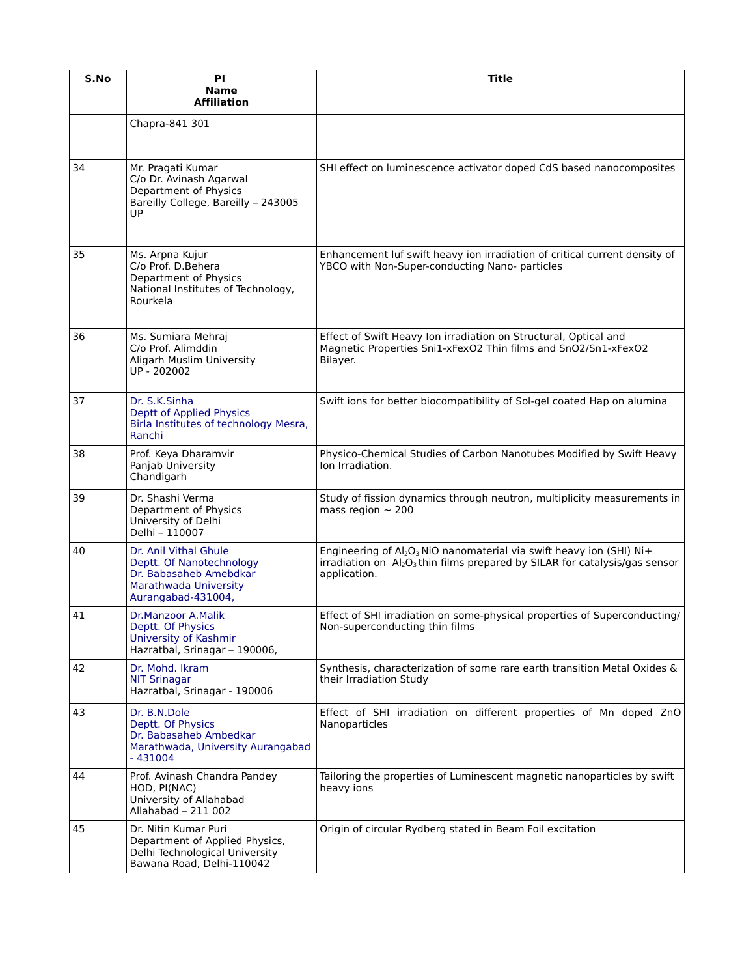| S.No | <b>PI</b><br><b>Name</b><br><b>Affiliation</b>                                                                             | <b>Title</b>                                                                                                                                                                |
|------|----------------------------------------------------------------------------------------------------------------------------|-----------------------------------------------------------------------------------------------------------------------------------------------------------------------------|
|      | Chapra-841 301                                                                                                             |                                                                                                                                                                             |
| 34   | Mr. Pragati Kumar<br>C/o Dr. Avinash Agarwal<br>Department of Physics<br>Bareilly College, Bareilly - 243005<br>UP         | SHI effect on luminescence activator doped CdS based nanocomposites                                                                                                         |
| 35   | Ms. Arpna Kujur<br>C/o Prof. D.Behera<br>Department of Physics<br>National Institutes of Technology,<br>Rourkela           | Enhancement luf swift heavy ion irradiation of critical current density of<br>YBCO with Non-Super-conducting Nano- particles                                                |
| 36   | Ms. Sumiara Mehraj<br>C/o Prof. Alimddin<br>Aligarh Muslim University<br>UP - 202002                                       | Effect of Swift Heavy Ion irradiation on Structural, Optical and<br>Magnetic Properties Sni1-xFexO2 Thin films and SnO2/Sn1-xFexO2<br>Bilayer.                              |
| 37   | Dr. S.K.Sinha<br><b>Deptt of Applied Physics</b><br>Birla Institutes of technology Mesra,<br>Ranchi                        | Swift ions for better biocompatibility of Sol-gel coated Hap on alumina                                                                                                     |
| 38   | Prof. Keya Dharamvir<br>Panjab University<br>Chandigarh                                                                    | Physico-Chemical Studies of Carbon Nanotubes Modified by Swift Heavy<br>Ion Irradiation.                                                                                    |
| 39   | Dr. Shashi Verma<br>Department of Physics<br>University of Delhi<br>Delhi - 110007                                         | Study of fission dynamics through neutron, multiplicity measurements in<br>mass region $\sim$ 200                                                                           |
| 40   | Dr. Anil Vithal Ghule<br>Deptt. Of Nanotechnology<br>Dr. Babasaheb Amebdkar<br>Marathwada University<br>Aurangabad-431004, | Engineering of $Al_2O_3$ . NiO nanomaterial via swift heavy ion (SHI) Ni+<br>irradiation on $Al_2O_3$ thin films prepared by SILAR for catalysis/gas sensor<br>application. |
| 41   | Dr.Manzoor A.Malik<br>Deptt. Of Physics<br>University of Kashmir<br>Hazratbal, Srinagar - 190006,                          | Effect of SHI irradiation on some-physical properties of Superconducting/<br>Non-superconducting thin films                                                                 |
| 42   | Dr. Mohd. Ikram<br><b>NIT Srinagar</b><br>Hazratbal, Srinagar - 190006                                                     | Synthesis, characterization of some rare earth transition Metal Oxides &<br>their Irradiation Study                                                                         |
| 43   | Dr. B.N.Dole<br>Deptt. Of Physics<br>Dr. Babasaheb Ambedkar<br>Marathwada, University Aurangabad<br>$-431004$              | Effect of SHI irradiation on different properties of Mn doped ZnO<br>Nanoparticles                                                                                          |
| 44   | Prof. Avinash Chandra Pandey<br>HOD, PI(NAC)<br>University of Allahabad<br>Allahabad - 211 002                             | Tailoring the properties of Luminescent magnetic nanoparticles by swift<br>heavy ions                                                                                       |
| 45   | Dr. Nitin Kumar Puri<br>Department of Applied Physics,<br>Delhi Technological University<br>Bawana Road, Delhi-110042      | Origin of circular Rydberg stated in Beam Foil excitation                                                                                                                   |